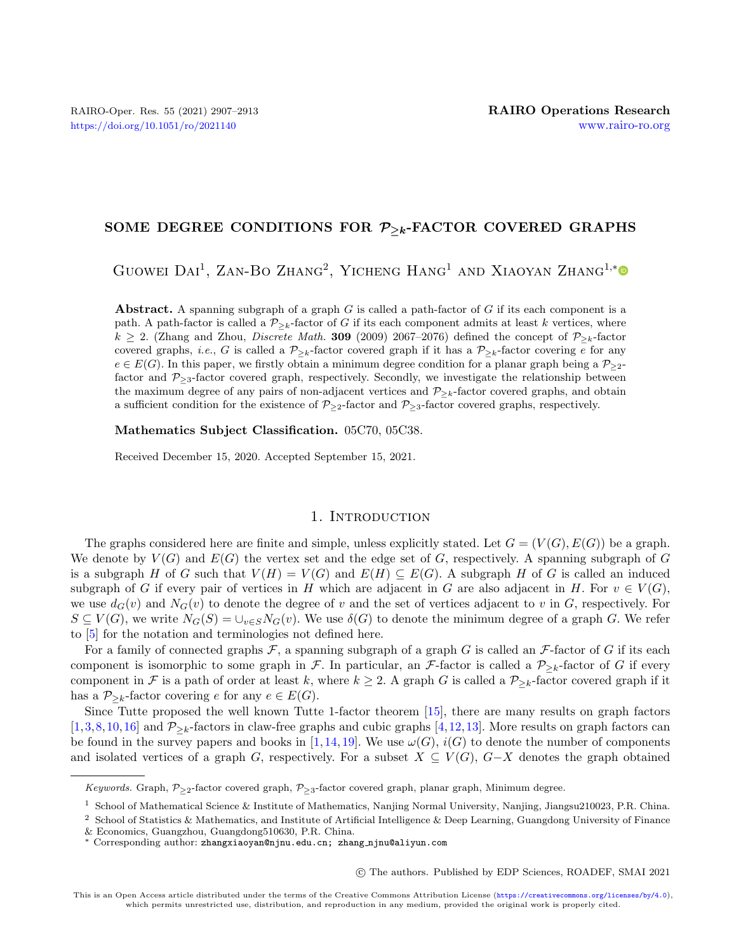## SOME DEGREE CONDITIONS FOR  $P_{\geq k}$ -FACTOR COVERED GRAPHS

GUOWEI DAI<sup>1</sup>, ZAN-BO ZHANG<sup>2</sup>, YICHENG HANG<sup>1</sup> AND XIAOYAN ZHANG<sup>1,[\\*](https://orcid.org/0000-0001-8563-4958)</sup>

**Abstract.** A spanning subgraph of a graph  $G$  is called a path-factor of  $G$  if its each component is a path. A path-factor is called a  $\mathcal{P}_{\geq k}$ -factor of G if its each component admits at least k vertices, where  $k \geq 2$ . (Zhang and Zhou, *Discrete Math.* 309 (2009) 2067–2076) defined the concept of  $P_{\geq k}$ -factor covered graphs, *i.e.*, G is called a  $\mathcal{P}_{\geq k}$ -factor covered graph if it has a  $\mathcal{P}_{\geq k}$ -factor covering e for any  $e \in E(G)$ . In this paper, we firstly obtain a minimum degree condition for a planar graph being a  $\mathcal{P}_{\geq 2}$ factor and  $\mathcal{P}_{\geq 3}$ -factor covered graph, respectively. Secondly, we investigate the relationship between the maximum degree of any pairs of non-adjacent vertices and  $P_{\geq k}$ -factor covered graphs, and obtain a sufficient condition for the existence of  $P_{\geq 2}$ -factor and  $P_{\geq 3}$ -factor covered graphs, respectively.

Mathematics Subject Classification. 05C70, 05C38.

Received December 15, 2020. Accepted September 15, 2021.

#### 1. INTRODUCTION

The graphs considered here are finite and simple, unless explicitly stated. Let  $G = (V(G), E(G))$  be a graph. We denote by  $V(G)$  and  $E(G)$  the vertex set and the edge set of G, respectively. A spanning subgraph of G is a subgraph H of G such that  $V(H) = V(G)$  and  $E(H) \subseteq E(G)$ . A subgraph H of G is called an induced subgraph of G if every pair of vertices in H which are adjacent in G are also adjacent in H. For  $v \in V(G)$ , we use  $d_G(v)$  and  $N_G(v)$  to denote the degree of v and the set of vertices adjacent to v in G, respectively. For  $S \subseteq V(G)$ , we write  $N_G(S) = \bigcup_{v \in S} N_G(v)$ . We use  $\delta(G)$  to denote the minimum degree of a graph G. We refer to [\[5\]](#page-6-0) for the notation and terminologies not defined here.

For a family of connected graphs  $\mathcal F$ , a spanning subgraph of a graph G is called an  $\mathcal F$ -factor of G if its each component is isomorphic to some graph in  $\mathcal F$ . In particular, an  $\mathcal F$ -factor is called a  $\mathcal P_{\ge k}$ -factor of G if every component in  $\mathcal F$  is a path of order at least k, where  $k \geq 2$ . A graph G is called a  $\mathcal P_{\geq k}$ -factor covered graph if it has a  $P_{\geq k}$ -factor covering e for any  $e \in E(G)$ .

Since Tutte proposed the well known Tutte 1-factor theorem [\[15\]](#page-6-1), there are many results on graph factors [\[1,](#page-6-2)[3,](#page-6-3)[8,](#page-6-4)[10,](#page-6-5)[16\]](#page-6-6) and  $P_{\geq k}$ -factors in claw-free graphs and cubic graphs [\[4,](#page-6-7)[12,](#page-6-8)[13\]](#page-6-9). More results on graph factors can be found in the survey papers and books in [\[1,](#page-6-2)[14,](#page-6-10)[19\]](#page-6-11). We use  $\omega(G)$ ,  $i(G)$  to denote the number of components and isolated vertices of a graph G, respectively. For a subset  $X \subseteq V(G)$ ,  $G-X$  denotes the graph obtained

○c The authors. Published by EDP Sciences, ROADEF, SMAI 2021

Keywords. Graph,  $P_{\geq 2}$ -factor covered graph,  $P_{\geq 3}$ -factor covered graph, planar graph, Minimum degree.

<sup>1</sup> School of Mathematical Science & Institute of Mathematics, Nanjing Normal University, Nanjing, Jiangsu210023, P.R. China.

<sup>2</sup> School of Statistics & Mathematics, and Institute of Artificial Intelligence & Deep Learning, Guangdong University of Finance

<sup>&</sup>amp; Economics, Guangzhou, Guangdong510630, P.R. China.

<sup>\*</sup> Corresponding author: [zhangxiaoyan@njnu.edu.cn; zhang](mailto:zhangxiaoyan@njnu.edu.cn; zhang_njnu@aliyun.com) njnu@aliyun.com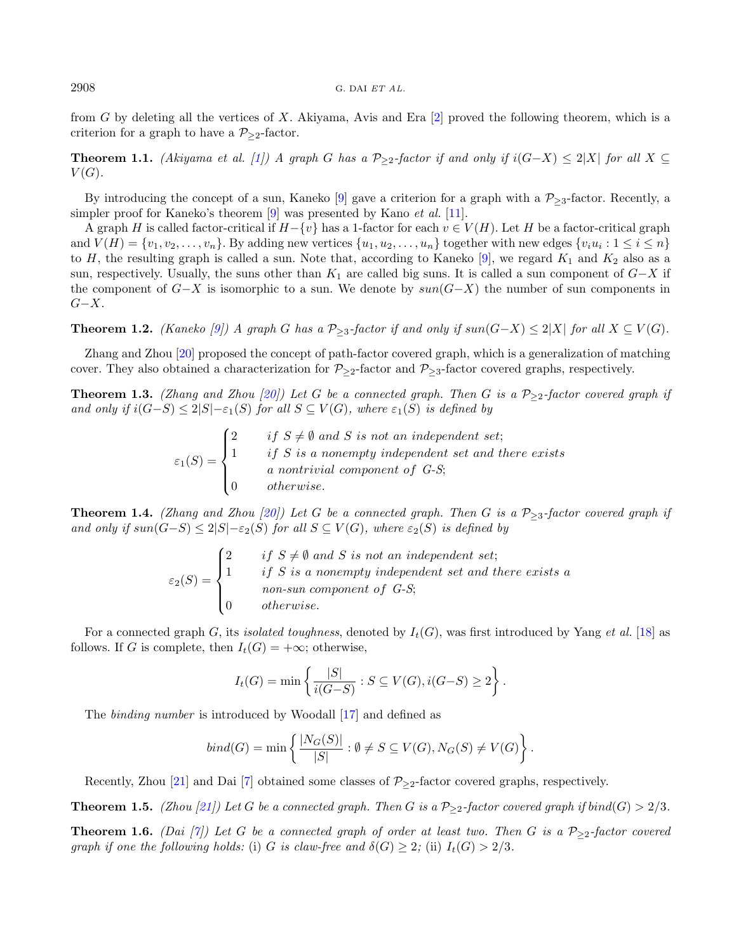from  $G$  by deleting all the vertices of  $X$ . Akiyama, Avis and Era [\[2\]](#page-6-12) proved the following theorem, which is a criterion for a graph to have a  $P_{\geq 2}$ -factor.

**Theorem 1.1.** (Akiyama et al. [\[1\]](#page-6-2)) A graph G has a  $\mathcal{P}_{\geq 2}$ -factor if and only if  $i(G-X) \leq 2|X|$  for all  $X \subseteq$  $V(G).$ 

By introducing the concept of a sun, Kaneko [\[9\]](#page-6-13) gave a criterion for a graph with a  $P_{>3}$ -factor. Recently, a simpler proof for Kaneko's theorem  $[9]$  was presented by Kano *et al.* [\[11\]](#page-6-14).

A graph H is called factor-critical if  $H-\{v\}$  has a 1-factor for each  $v \in V(H)$ . Let H be a factor-critical graph and  $V(H) = \{v_1, v_2, \ldots, v_n\}$ . By adding new vertices  $\{u_1, u_2, \ldots, u_n\}$  together with new edges  $\{v_i u_i : 1 \le i \le n\}$ to H, the resulting graph is called a sun. Note that, according to Kaneko [\[9\]](#page-6-13), we regard  $K_1$  and  $K_2$  also as a sun, respectively. Usually, the suns other than  $K_1$  are called big suns. It is called a sun component of  $G-X$  if the component of  $G-X$  is isomorphic to a sun. We denote by  $sun(G-X)$  the number of sun components in  $G-X.$ 

**Theorem 1.2.** (Kaneko [\[9\]](#page-6-13)) A graph G has a  $\mathcal{P}_{\geq 3}$ -factor if and only if  $\sup(G-X) \leq 2|X|$  for all  $X \subseteq V(G)$ .

Zhang and Zhou [\[20\]](#page-6-15) proposed the concept of path-factor covered graph, which is a generalization of matching cover. They also obtained a characterization for  $\mathcal{P}_{\geq 2}$ -factor and  $\mathcal{P}_{\geq 3}$ -factor covered graphs, respectively.

<span id="page-1-1"></span>**Theorem 1.3.** (Zhang and Zhou [\[20\]](#page-6-15)) Let G be a connected graph. Then G is a  $P_{\geq 2}$ -factor covered graph if and only if  $i(G-S) \leq 2|S| - \varepsilon_1(S)$  for all  $S \subseteq V(G)$ , where  $\varepsilon_1(S)$  is defined by

> $\varepsilon_1(S) =$  $\sqrt{ }$  $\int$  $\overline{\mathcal{L}}$ 2 if  $S \neq \emptyset$  and S is not an independent set;  $1$  if S is a nonempty independent set and there exists a nontrivial component of G-S;  $0$  otherwise.

<span id="page-1-0"></span>**Theorem 1.4.** (Zhang and Zhou [\[20\]](#page-6-15)) Let G be a connected graph. Then G is a  $\mathcal{P}_{\geq 3}$ -factor covered graph if and only if  $sun(G-S) \leq 2|S|-\varepsilon_2(S)$  for all  $S \subseteq V(G)$ , where  $\varepsilon_2(S)$  is defined by

$$
\varepsilon_2(S) = \begin{cases}\n2 & \text{if } S \neq \emptyset \text{ and } S \text{ is not an independent set;} \\
1 & \text{if } S \text{ is a nonempty independent set and there exists a non-sum component of } G-S; \\
0 & \text{otherwise.}\n\end{cases}
$$

For a connected graph G, its *isolated toughness*, denoted by  $I_t(G)$ , was first introduced by Yang *et al.* [\[18\]](#page-6-16) as follows. If G is complete, then  $I_t(G) = +\infty$ ; otherwise,

$$
I_t(G) = \min\left\{\frac{|S|}{i(G-S)} : S \subseteq V(G), i(G-S) \ge 2\right\}.
$$

The binding number is introduced by Woodall [\[17\]](#page-6-17) and defined as

$$
bind(G) = min \left\{ \frac{|N_G(S)|}{|S|} : \emptyset \neq S \subseteq V(G), N_G(S) \neq V(G) \right\}.
$$

Recently, Zhou [\[21\]](#page-6-18) and Dai [\[7\]](#page-6-19) obtained some classes of  $P_{\geq 2}$ -factor covered graphs, respectively.

**Theorem 1.5.** (Zhou [\[21\]](#page-6-18)) Let G be a connected graph. Then G is a  $P_{\geq 2}$ -factor covered graph if bind(G)  $> 2/3$ .

**Theorem 1.6.** (Dai [\[7\]](#page-6-19)) Let G be a connected graph of order at least two. Then G is a  $P_{\geq 2}$ -factor covered graph if one the following holds: (i) G is claw-free and  $\delta(G) \geq 2$ ; (ii)  $I_t(G) > 2/3$ .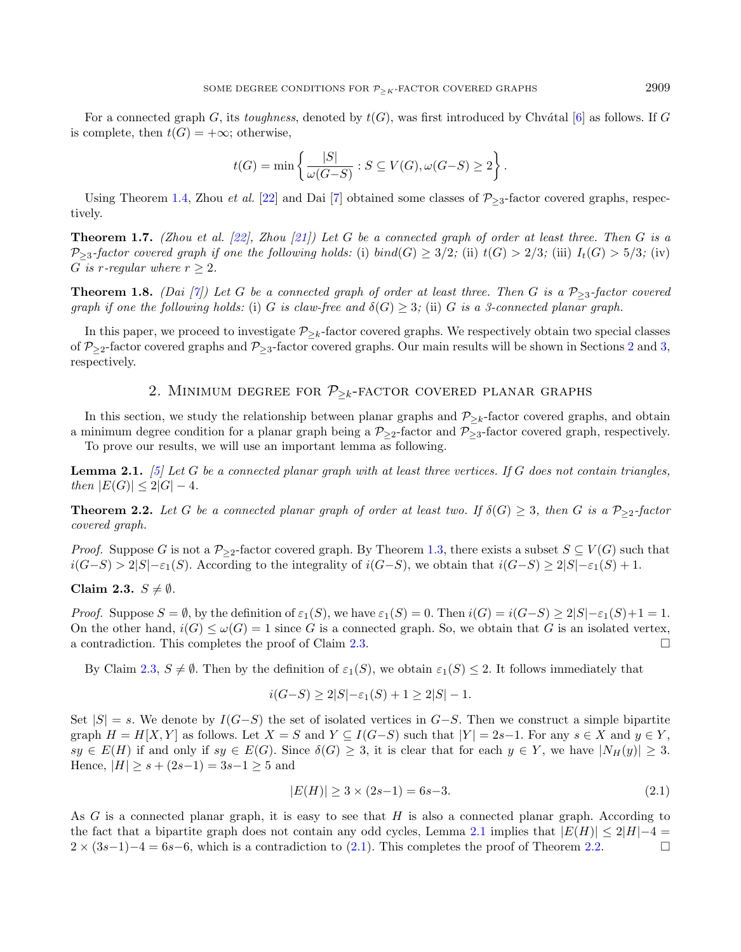For a connected graph G, its toughness, denoted by  $t(G)$ , was first introduced by Chvátal [\[6\]](#page-6-20) as follows. If G is complete, then  $t(G) = +\infty$ ; otherwise,

$$
t(G) = \min\left\{\frac{|S|}{\omega(G-S)} : S \subseteq V(G), \omega(G-S) \ge 2\right\}.
$$

Using Theorem [1.4,](#page-1-0) Zhou *et al.* [\[22\]](#page-6-21) and Dai [\[7\]](#page-6-19) obtained some classes of  $P_{\geq 3}$ -factor covered graphs, respectively.

**Theorem 1.7.** (Zhou et al. [\[22\]](#page-6-21), Zhou [\[21\]](#page-6-18)) Let G be a connected graph of order at least three. Then G is a  $\mathcal{P}_{\geq 3}$ -factor covered graph if one the following holds: (i) bind(G)  $\geq 3/2$ ; (ii)  $t(G) > 2/3$ ; (iii)  $I_t(G) > 5/3$ ; (iv) G is r-regular where  $r > 2$ .

**Theorem 1.8.** (Dai [\[7\]](#page-6-19)) Let G be a connected graph of order at least three. Then G is a  $P_{\geq 3}$ -factor covered graph if one the following holds: (i) G is claw-free and  $\delta(G) \geq 3$ ; (ii) G is a 3-connected planar graph.

In this paper, we proceed to investigate  $P_{\geq k}$ -factor covered graphs. We respectively obtain two special classes of  $\mathcal{P}_{\geq 2}$  $\mathcal{P}_{\geq 2}$  $\mathcal{P}_{\geq 2}$ -factor covered graphs and  $\mathcal{P}_{\geq 3}$ -factor covered graphs. Our main results will be shown in Sections 2 and [3,](#page-4-0) respectively.

## 2. MINIMUM DEGREE FOR  $P_{\geq k}$ -FACTOR COVERED PLANAR GRAPHS

<span id="page-2-0"></span>In this section, we study the relationship between planar graphs and  $\mathcal{P}_{\geq k}$ -factor covered graphs, and obtain a minimum degree condition for a planar graph being a  $P_{\geq 2}$ -factor and  $P_{\geq 3}$ -factor covered graph, respectively.

To prove our results, we will use an important lemma as following.

<span id="page-2-2"></span>**Lemma 2.1.** [\[5\]](#page-6-0) Let  $G$  be a connected planar graph with at least three vertices. If  $G$  does not contain triangles, then  $|E(G)| \leq 2|G| - 4$ .

<span id="page-2-4"></span>**Theorem 2.2.** Let G be a connected planar graph of order at least two. If  $\delta(G) \geq 3$ , then G is a  $\mathcal{P}_{\geq 2}$ -factor covered graph.

*Proof.* Suppose G is not a  $P_{\geq 2}$ -factor covered graph. By Theorem [1.3,](#page-1-1) there exists a subset  $S \subseteq V(G)$  such that  $i(G-S) > 2|S|-\varepsilon_1(S)$ . According to the integrality of  $i(G-S)$ , we obtain that  $i(G-S) \ge 2|S|-\varepsilon_1(S) + 1$ .

#### <span id="page-2-1"></span>Claim 2.3.  $S \neq \emptyset$ .

*Proof.* Suppose  $S = \emptyset$ , by the definition of  $\varepsilon_1(S)$ , we have  $\varepsilon_1(S) = 0$ . Then  $i(G) = i(G-S) \ge 2|S| - \varepsilon_1(S) + 1 = 1$ . On the other hand,  $i(G) \leq \omega(G) = 1$  since G is a connected graph. So, we obtain that G is an isolated vertex, a contradiction. This completes the proof of Claim [2.3.](#page-2-1)

By Claim [2.3,](#page-2-1)  $S \neq \emptyset$ . Then by the definition of  $\varepsilon_1(S)$ , we obtain  $\varepsilon_1(S) \leq 2$ . It follows immediately that

<span id="page-2-3"></span>
$$
i(G-S) \ge 2|S| - \varepsilon_1(S) + 1 \ge 2|S| - 1.
$$

Set  $|S| = s$ . We denote by  $I(G-S)$  the set of isolated vertices in  $G-S$ . Then we construct a simple bipartite graph  $H = H[X, Y]$  as follows. Let  $X = S$  and  $Y \subseteq I(G-S)$  such that  $|Y| = 2s-1$ . For any  $s \in X$  and  $y \in Y$ ,  $sy \in E(H)$  if and only if  $sy \in E(G)$ . Since  $\delta(G) \geq 3$ , it is clear that for each  $y \in Y$ , we have  $|N_H(y)| \geq 3$ . Hence,  $|H| \geq s + (2s-1) = 3s-1 \geq 5$  and

$$
|E(H)| \ge 3 \times (2s - 1) = 6s - 3. \tag{2.1}
$$

As  $G$  is a connected planar graph, it is easy to see that  $H$  is also a connected planar graph. According to the fact that a bipartite graph does not contain any odd cycles, Lemma [2.1](#page-2-2) implies that  $|E(H)| \leq 2|H|-4$  $2 \times (3s-1)-4 = 6s-6$ , which is a contradiction to [\(2.1\)](#page-2-3). This completes the proof of Theorem [2.2.](#page-2-4)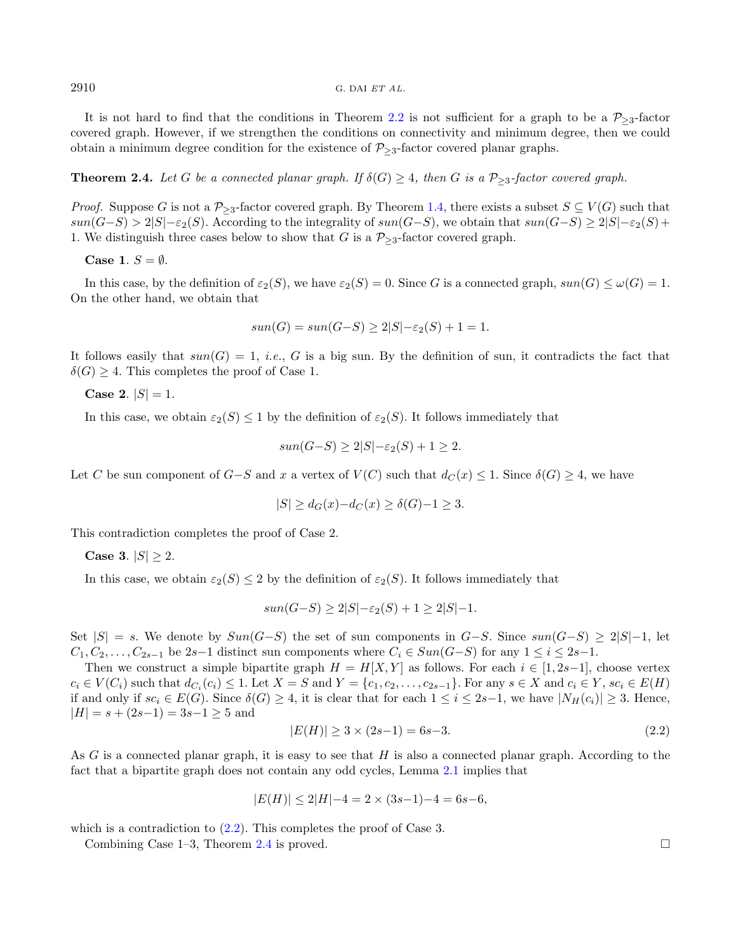It is not hard to find that the conditions in Theorem [2.2](#page-2-4) is not sufficient for a graph to be a  $P_{\geq 3}$ -factor covered graph. However, if we strengthen the conditions on connectivity and minimum degree, then we could obtain a minimum degree condition for the existence of  $P_{\geq 3}$ -factor covered planar graphs.

### <span id="page-3-1"></span>**Theorem 2.4.** Let G be a connected planar graph. If  $\delta(G) \geq 4$ , then G is a  $\mathcal{P}_{\geq 3}$ -factor covered graph.

*Proof.* Suppose G is not a  $\mathcal{P}_{\geq 3}$ -factor covered graph. By Theorem [1.4,](#page-1-0) there exists a subset  $S \subseteq V(G)$  such that  $sun(G-S) > 2|S|-\varepsilon_2(S)$ . According to the integrality of  $sun(G-S)$ , we obtain that  $sun(G-S) \geq 2|S|-\varepsilon_2(S)+$ 1. We distinguish three cases below to show that G is a  $P_{\geq 3}$ -factor covered graph.

Case 1.  $S = \emptyset$ .

In this case, by the definition of  $\varepsilon_2(S)$ , we have  $\varepsilon_2(S) = 0$ . Since G is a connected graph,  $\sin(G) \leq \omega(G) = 1$ . On the other hand, we obtain that

$$
sun(G) = sun(G-S) \ge 2|S| - \varepsilon_2(S) + 1 = 1.
$$

It follows easily that  $sun(G) = 1$ , *i.e.*, G is a big sun. By the definition of sun, it contradicts the fact that  $\delta(G) > 4$ . This completes the proof of Case 1.

Case 2.  $|S| = 1$ .

In this case, we obtain  $\varepsilon_2(S) \leq 1$  by the definition of  $\varepsilon_2(S)$ . It follows immediately that

$$
sun(G-S) \ge 2|S| - \varepsilon_2(S) + 1 \ge 2.
$$

Let C be sun component of  $G-S$  and x a vertex of  $V(C)$  such that  $d_C(x) \leq 1$ . Since  $\delta(G) \geq 4$ , we have

<span id="page-3-0"></span>
$$
|S| \ge d_G(x) - d_C(x) \ge \delta(G) - 1 \ge 3.
$$

This contradiction completes the proof of Case 2.

Case 3.  $|S| \ge 2$ .

In this case, we obtain  $\varepsilon_2(S) \leq 2$  by the definition of  $\varepsilon_2(S)$ . It follows immediately that

$$
sun(G-S) \ge 2|S| - \varepsilon_2(S) + 1 \ge 2|S| - 1.
$$

Set  $|S| = s$ . We denote by  $Sun(G-S)$  the set of sun components in  $G-S$ . Since  $sun(G-S) \ge 2|S|-1$ , let  $C_1, C_2, \ldots, C_{2s-1}$  be 2s-1 distinct sun components where  $C_i \in Sun(G-S)$  for any  $1 \le i \le 2s-1$ .

Then we construct a simple bipartite graph  $H = H[X, Y]$  as follows. For each  $i \in [1, 2s-1]$ , choose vertex  $c_i \in V(C_i)$  such that  $d_{C_i}(c_i) \leq 1$ . Let  $X = S$  and  $Y = \{c_1, c_2, \ldots, c_{2s-1}\}$ . For any  $s \in X$  and  $c_i \in Y$ ,  $sc_i \in E(H)$ if and only if  $sc_i \in E(G)$ . Since  $\delta(G) \geq 4$ , it is clear that for each  $1 \leq i \leq 2s-1$ , we have  $|N_H(c_i)| \geq 3$ . Hence,  $|H| = s + (2s-1) = 3s-1 \geq 5$  and

$$
|E(H)| \ge 3 \times (2s - 1) = 6s - 3. \tag{2.2}
$$

As  $G$  is a connected planar graph, it is easy to see that  $H$  is also a connected planar graph. According to the fact that a bipartite graph does not contain any odd cycles, Lemma [2.1](#page-2-2) implies that

$$
|E(H)| \le 2|H| - 4 = 2 \times (3s - 1) - 4 = 6s - 6,
$$

which is a contradiction to  $(2.2)$ . This completes the proof of Case 3.

Combining Case 1–3, Theorem [2.4](#page-3-1) is proved. □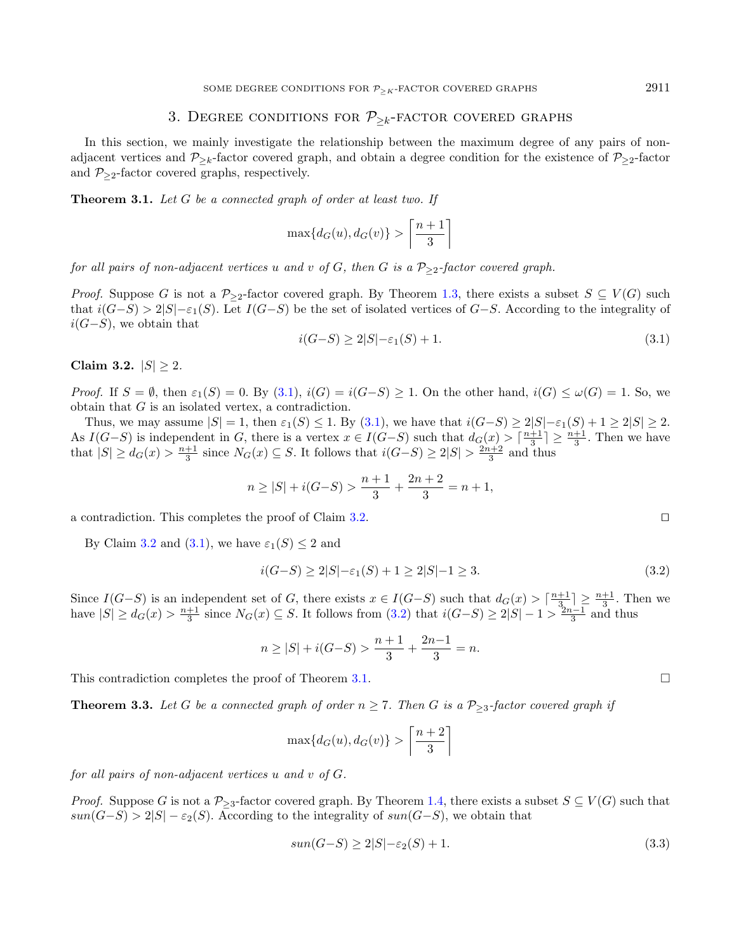### <span id="page-4-1"></span>3. DEGREE CONDITIONS FOR  $P_{\geq k}$ -FACTOR COVERED GRAPHS

<span id="page-4-0"></span>In this section, we mainly investigate the relationship between the maximum degree of any pairs of nonadjacent vertices and  $\mathcal{P}_{\geq k}$ -factor covered graph, and obtain a degree condition for the existence of  $\mathcal{P}_{\geq 2}$ -factor and  $P_{\geq 2}$ -factor covered graphs, respectively.

<span id="page-4-4"></span>**Theorem 3.1.** Let  $G$  be a connected graph of order at least two. If

$$
\max\{d_G(u), d_G(v)\} > \left\lceil \frac{n+1}{3} \right\rceil
$$

for all pairs of non-adjacent vertices u and v of G, then G is a  $P_{\geq 2}$ -factor covered graph.

*Proof.* Suppose G is not a  $\mathcal{P}_{\geq 2}$ -factor covered graph. By Theorem [1.3,](#page-1-1) there exists a subset  $S \subseteq V(G)$  such that  $i(G-S) > 2|S|-\varepsilon_1(S)$ . Let  $I(G-S)$  be the set of isolated vertices of  $G-S$ . According to the integrality of  $i(G-S)$ , we obtain that

<span id="page-4-3"></span>
$$
i(G-S) \ge 2|S| - \varepsilon_1(S) + 1. \tag{3.1}
$$

<span id="page-4-2"></span>Claim 3.2.  $|S| \ge 2$ .

*Proof.* If  $S = \emptyset$ , then  $\varepsilon_1(S) = 0$ . By  $(3.1)$ ,  $i(G) = i(G-S) \geq 1$ . On the other hand,  $i(G) \leq \omega(G) = 1$ . So, we obtain that  $G$  is an isolated vertex, a contradiction.

Thus, we may assume  $|S| = 1$ , then  $\varepsilon_1(S) \le 1$ . By  $(3.1)$ , we have that  $i(G-S) \ge 2|S| - \varepsilon_1(S) + 1 \ge 2|S| \ge 2$ . As  $I(G-S)$  is independent in G, there is a vertex  $x \in I(G-S)$  such that  $d_G(x) > \lceil \frac{n+1}{3} \rceil \geq \frac{n+1}{3}$ . Then we have that  $|S| \geq d_G(x) > \frac{n+1}{3}$  since  $N_G(x) \subseteq S$ . It follows that  $i(G-S) \geq 2|S| > \frac{2n+2}{3}$  and thus

$$
n \ge |S| + i(G-S) > \frac{n+1}{3} + \frac{2n+2}{3} = n+1,
$$

a contradiction. This completes the proof of Claim [3.2.](#page-4-2) ⊓⊔

By Claim [3.2](#page-4-2) and [\(3.1\)](#page-4-1), we have  $\varepsilon_1(S) \leq 2$  and

$$
i(G-S) \ge 2|S| - \varepsilon_1(S) + 1 \ge 2|S| - 1 \ge 3. \tag{3.2}
$$

Since  $I(G-S)$  is an independent set of G, there exists  $x \in I(G-S)$  such that  $d_G(x) > \lceil \frac{n+1}{3} \rceil \geq \frac{n+1}{3}$ . Then we have  $|S| \geq d_G(x) > \frac{n+1}{3}$  since  $N_G(x) \subseteq S$ . It follows from  $(3.2)$  that  $i(G-S) \geq 2|S|-1 > \frac{2n-1}{3}$  and thus

$$
n \ge |S| + i(G-S) > \frac{n+1}{3} + \frac{2n-1}{3} = n.
$$

This contradiction completes the proof of Theorem [3.1.](#page-4-4)

<span id="page-4-7"></span>**Theorem 3.3.** Let G be a connected graph of order  $n \ge 7$ . Then G is a  $\mathcal{P}_{\ge 3}$ -factor covered graph if

$$
\max\{d_G(u), d_G(v)\} > \left\lceil \frac{n+2}{3} \right\rceil
$$

for all pairs of non-adjacent vertices  $u$  and  $v$  of  $G$ .

<span id="page-4-6"></span>*Proof.* Suppose G is not a  $P_{\geq 3}$ -factor covered graph. By Theorem [1.4,](#page-1-0) there exists a subset  $S \subseteq V(G)$  such that  $sun(G-S) > 2|S| - \varepsilon_2(S)$ . According to the integrality of  $sun(G-S)$ , we obtain that

$$
sun(G-S) \ge 2|S| - \varepsilon_2(S) + 1. \tag{3.3}
$$

<span id="page-4-5"></span>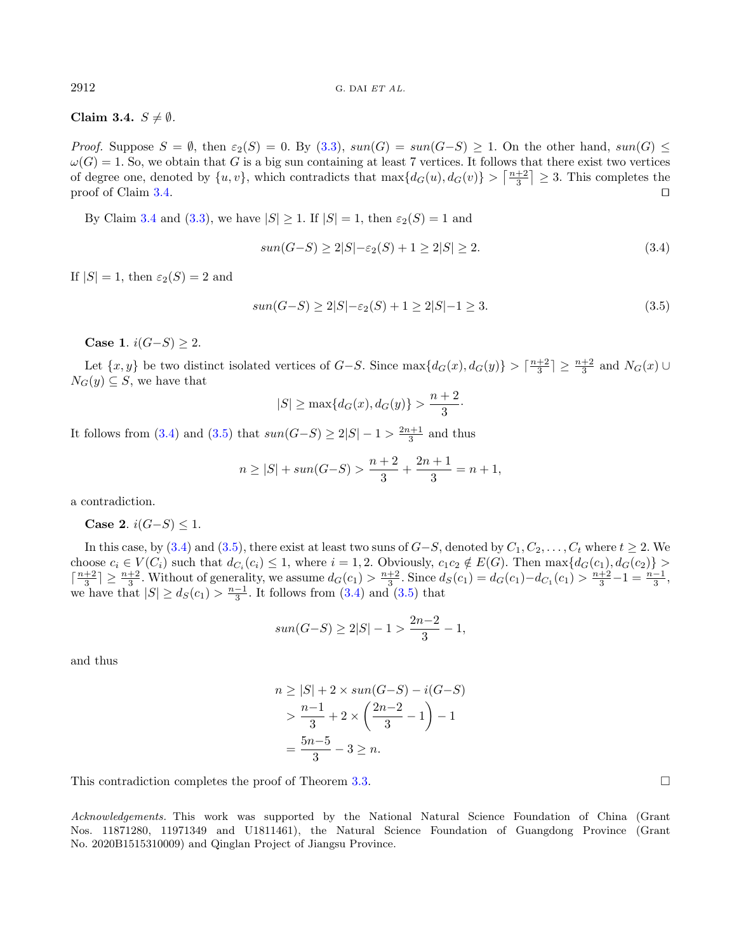Claim 3.4.  $S \neq \emptyset$ .

Proof. Suppose  $S = \emptyset$ , then  $\varepsilon_2(S) = 0$ . By [\(3.3\)](#page-4-5),  $sun(G) = sun(G-S) \ge 1$ . On the other hand,  $sun(G) \le$  $\omega(G) = 1$ . So, we obtain that G is a big sun containing at least 7 vertices. It follows that there exist two vertices of degree one, denoted by  $\{u, v\}$ , which contradicts that  $\max\{d_G(u), d_G(v)\} > \left\lceil \frac{n+2}{3} \right\rceil \geq 3$ . This completes the proof of Claim [3.4.](#page-4-6) □

By Claim [3.4](#page-4-6) and [\(3.3\)](#page-4-5), we have  $|S| \ge 1$ . If  $|S| = 1$ , then  $\varepsilon_2(S) = 1$  and

<span id="page-5-1"></span><span id="page-5-0"></span>
$$
sun(G-S) \ge 2|S| - \varepsilon_2(S) + 1 \ge 2|S| \ge 2. \tag{3.4}
$$

If  $|S| = 1$ , then  $\varepsilon_2(S) = 2$  and

$$
sun(G-S) \ge 2|S| - \varepsilon_2(S) + 1 \ge 2|S| - 1 \ge 3. \tag{3.5}
$$

·

Case 1.  $i(G-S) > 2$ .

Let  $\{x, y\}$  be two distinct isolated vertices of  $G-S$ . Since  $\max\{d_G(x), d_G(y)\} > \lceil \frac{n+2}{3} \rceil \geq \frac{n+2}{3}$  and  $N_G(x) \cup$  $N_G(y) \subseteq S$ , we have that

$$
|S| \ge \max\{d_G(x), d_G(y)\} > \frac{n+2}{3}
$$

It follows from [\(3.4\)](#page-5-0) and [\(3.5\)](#page-5-1) that  $sun(G-S) \ge 2|S| - 1 > \frac{2n+1}{3}$  and thus

$$
n \ge |S| + \sup(G - S) > \frac{n+2}{3} + \frac{2n+1}{3} = n+1,
$$

a contradiction.

Case 2.  $i(G-S)$  ≤ 1.

In this case, by [\(3.4\)](#page-5-0) and [\(3.5\)](#page-5-1), there exist at least two suns of  $G-S$ , denoted by  $C_1, C_2, \ldots, C_t$  where  $t \geq 2$ . We choose  $c_i \in V(C_i)$  such that  $d_{C_i}(c_i) \leq 1$ , where  $i = 1, 2$ . Obviously,  $c_1c_2 \notin E(G)$ . Then  $\max\{d_G(c_1), d_G(c_2)\} >$  $\lceil \frac{n+2}{3} \rceil \ge \frac{n+2}{3}$ . Without of generality, we assume  $d_G(c_1) > \frac{n+2}{3}$ . Since  $d_S(c_1) = d_G(c_1) - d_{C_1}(c_1) > \frac{n+2}{3} - 1 = \frac{n-1}{3}$ . we have that  $|S| \geq d_S(c_1) > \frac{n-1}{3}$ . It follows from [\(3.4\)](#page-5-0) and [\(3.5\)](#page-5-1) that

$$
sun(G-S) \ge 2|S| - 1 > \frac{2n-2}{3} - 1,
$$

and thus

$$
n \ge |S| + 2 \times \sin(G - S) - i(G - S)
$$
  
> 
$$
\frac{n-1}{3} + 2 \times \left(\frac{2n-2}{3} - 1\right) - 1
$$
  
= 
$$
\frac{5n-5}{3} - 3 \ge n.
$$

This contradiction completes the proof of Theorem [3.3.](#page-4-7)

Acknowledgements. This work was supported by the National Natural Science Foundation of China (Grant Nos. 11871280, 11971349 and U1811461), the Natural Science Foundation of Guangdong Province (Grant No. 2020B1515310009) and Qinglan Project of Jiangsu Province.